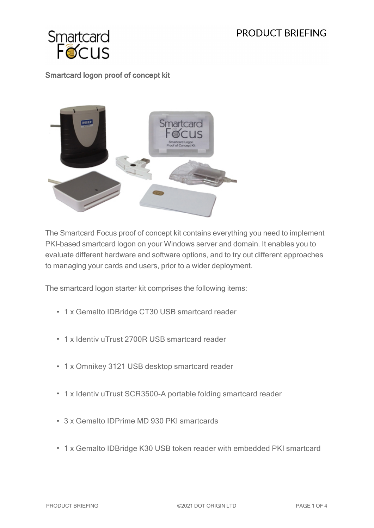## PRODUCT BRIFFING



## Smartcard logon proof of concept kit



The Smartcard Focus proof of concept kit contains everything you need to implement PKI-based smartcard logon on your Windows server and domain. It enables you to evaluate different hardware and software options, and to try out different approaches to managing your cards and users, prior to a wider deployment.

The smartcard logon starter kit comprises the following items:

- 1 x Gemalto IDBridge CT30 USB smartcard reader
- 1 x Identiv uTrust 2700R USB smartcard reader
- 1 x Omnikey 3121 USB desktop smartcard reader
- 1 x Identiv uTrust SCR3500-A portable folding smartcard reader
- 3 x Gemalto IDPrime MD 930 PKI smartcards
- 1 x Gemalto IDBridge K30 USB token reader with embedded PKI smartcard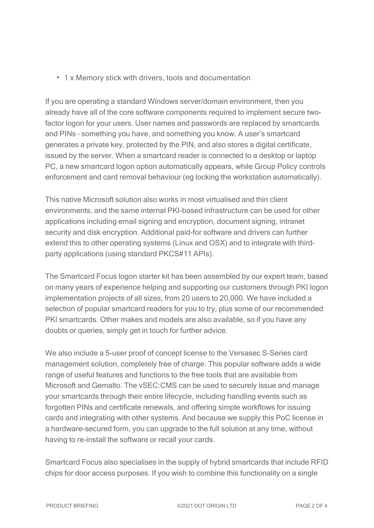• 1 x Memory stick with drivers, tools and documentation

If you are operating a standard Windows server/domain environment, then you already have all of the core software components required to implement secure twofactor logon for your users. User names and passwords are replaced by smartcards and PINs – something you have, and something you know. A user's smartcard generates a private key, protected by the PIN, and also stores a digital certificate, issued by the server. When a smartcard reader is connected to a desktop or laptop PC, a new smartcard logon option automatically appears, while Group Policy controls enforcement and card removal behaviour (eg locking the workstation automatically).

This native Microsoft solution also works in most virtualised and thin client environments, and the same internal PKI-based infrastructure can be used for other applications including email signing and encryption, document signing, intranet security and disk encryption. Additional paid-for software and drivers can further extend this to other operating systems (Linux and OSX) and to integrate with thirdparty applications (using standard PKCS#11 APIs).

The Smartcard Focus logon starter kit has been assembled by our expert team, based on many years of experience helping and supporting our customers through PKI logon implementation projects of all sizes, from 20 users to 20,000. We have included a selection of popular smartcard readers for you to try, plus some of our recommended PKI smartcards. Other makes and models are also available, so if you have any doubts or queries, simply get in touch for further advice.

We also include a 5-user proof of concept license to the Versasec S-Series card management solution, completely free of charge. This popular software adds a wide range of useful features and functions to the free tools that are available from Microsoft and Gemalto. The vSEC:CMS can be used to securely issue and manage your smartcards through their entire lifecycle, including handling events such as forgotten PINs and certificate renewals, and offering simple workflows for issuing cards and integrating with other systems. And because we supply this PoC license in a hardware-secured form, you can upgrade to the full solution at any time, without having to re-install the software or recall your cards.

Smartcard Focus also specialises in the supply of hybrid smartcards that include RFID chips for door access purposes. If you wish to combine this functionality on a single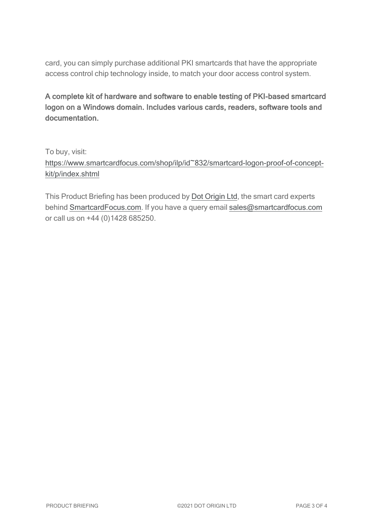card, you can simply purchase additional PKI smartcards that have the appropriate access control chip technology inside, to match your door access control system.

A complete kit of hardware and software to enable testing of PKI-based smartcard logon on a Windows domain. Includes various cards, readers, software tools and documentation.

To buy, visit: [https://www.smartcardfocus.com/shop/ilp/id~832/smartcard-logon-proof-of-concept](https://www.smartcardfocus.com/shop/ilp/id~832/smartcard-logon-proof-of-concept-kit/p/index.shtml?utm_source=download&utm_medium=pdf&utm_campaign=scf-product-pdf)[kit/p/index.shtml](https://www.smartcardfocus.com/shop/ilp/id~832/smartcard-logon-proof-of-concept-kit/p/index.shtml?utm_source=download&utm_medium=pdf&utm_campaign=scf-product-pdf)

This Product Briefing has been produced by Dot [Origin](https://www.dotorigin.com/) Ltd, the smart card experts behind [SmartcardFocus.com.](https://www.smartcardfocus.com/?utm_source=download&utm_medium=pdf&utm_campaign=scf-product-pdf) If you have a query email [sales@smartcardfocus.com](mailto:sales@smartcardfocus.com?subject=Product Briefing query) or call us on +44 (0)1428 685250.